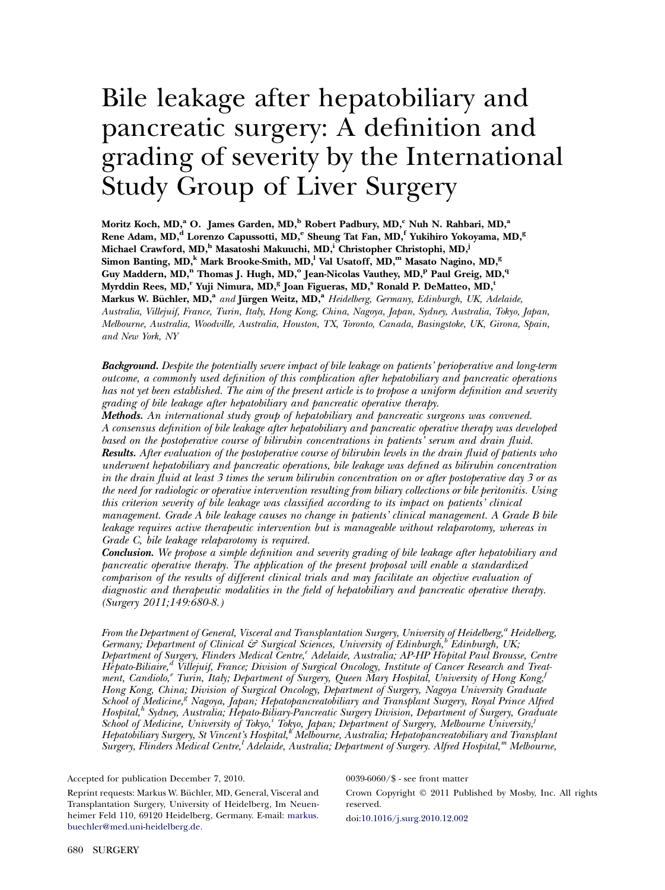# Bile leakage after hepatobiliary and pancreatic surgery: A definition and grading of severity by the International Study Group of Liver Surgery

Moritz Koch, MD,<sup>a</sup> O. James Garden, MD,<sup>b</sup> Robert Padbury, MD,<sup>c</sup> Nuh N. Rahbari, MD,<sup>a</sup> Rene Adam, MD,<sup>d</sup> Lorenzo Capussotti, MD,<sup>e</sup> Sheung Tat Fan, MD,<sup>f</sup> Yukihiro Yokoyama, MD,<sup>g</sup> Michael Crawford, MD,<sup>h</sup> Masatoshi Makuuchi, MD,<sup>i</sup> Christopher Christophi, MD,<sup>j</sup> Simon Banting, MD, Mark Brooke-Smith, MD, Val Usatoff, MD, mMasato Nagino, MD,  $g$ Guy Maddern, MD,<sup>n</sup> Thomas J. Hugh, MD,<sup>o</sup> Jean-Nicolas Vauthey, MD,<sup>p</sup> Paul Greig, MD,<sup>q</sup> Myrddin Rees, MD,<sup>r</sup> Yuji Nimura, MD,<sup>g</sup> Joan Figueras, MD,<sup>s</sup> Ronald P. DeMatteo, MD,<sup>t</sup> Markus W. Büchler, MD,<sup> $a$ </sup> and Jürgen Weitz, MD, $a$ <sup>2</sup> Heidelberg, Germany, Edinburgh, UK, Adelaide, Australia, Villejuif, France, Turin, Italy, Hong Kong, China, Nagoya, Japan, Sydney, Australia, Tokyo, Japan, Melbourne, Australia, Woodville, Australia, Houston, TX, Toronto, Canada, Basingstoke, UK, Girona, Spain, and New York, NY

**Background.** Despite the potentially severe impact of bile leakage on patients' perioperative and long-term outcome, a commonly used definition of this complication after hepatobiliary and pancreatic operations has not yet been established. The aim of the present article is to propose a uniform definition and severity grading of bile leakage after hepatobiliary and pancreatic operative therapy.

Methods. An international study group of hepatobiliary and pancreatic surgeons was convened. A consensus definition of bile leakage after hepatobiliary and pancreatic operative therapy was developed based on the postoperative course of bilirubin concentrations in patients' serum and drain fluid. Results. After evaluation of the postoperative course of bilirubin levels in the drain fluid of patients who underwent hepatobiliary and pancreatic operations, bile leakage was defined as bilirubin concentration in the drain fluid at least 3 times the serum bilirubin concentration on or after postoperative day 3 or as the need for radiologic or operative intervention resulting from biliary collections or bile peritonitis. Using this criterion severity of bile leakage was classified according to its impact on patients' clinical management. Grade A bile leakage causes no change in patients' clinical management. A Grade B bile leakage requires active therapeutic intervention but is manageable without relaparotomy, whereas in Grade C, bile leakage relaparotomy is required.

Conclusion. We propose a simple definition and severity grading of bile leakage after hepatobiliary and pancreatic operative therapy. The application of the present proposal will enable a standardized comparison of the results of different clinical trials and may facilitate an objective evaluation of diagnostic and therapeutic modalities in the field of hepatobiliary and pancreatic operative therapy. (Surgery 2011;149:680-8.)

From the Department of General, Visceral and Transplantation Surgery, University of Heidelberg,<sup>a</sup> Heidelberg, Germany; Department of Clinical & Surgical Sciences, University of Edinburgh,  $\check{E}$  Edinburgh, UK; Department of Surgery, Flinders Medical Centre,<sup>c</sup> Adelaide, Australia; AP-HP Hôpital Paul Brousse, Centre Hepato-Biliaire,<sup>d</sup> Villejuif, France; Division of Surgical Oncology, Institute of Cancer Research and Treatment, Candiolo,<sup>e</sup> Turin, Italy; Department of Surgery, Queen Mary Hospital, University of Hong Kong,<sup>t</sup> Hong Kong, China; Division of Surgical Oncology, Department of Surgery, Nagoya University Graduate School of Medicine,<sup>g</sup> Nagoya, Japan; Hepatopancreatobiliary and Transplant Surgery, Royal Prince Alfred Hospital,<sup>h</sup> Sydney, Australia; Hepato-Biliary-Pancreatic Surgery Division, Department of Surgery, Graduate School of Medicine, University of Tokyo,<sup>i</sup> Tokyo, Japan; Department of Surgery, Melbourne University,<sup>j</sup> Hepatobiliary Surgery, St Vincent's Hospital,<sup>k'</sup> Melbourne, Australia; Hepatopancreatobiliary and Transplant Surgery, Flinders Medical Centre,<sup>l</sup> Adelaide, Australia; Department of Surgery. Alfred Hospital,<sup>m</sup> Melbourne,

Accepted for publication December 7, 2010.

Reprint requests: Markus W. Büchler, MD, General, Visceral and Transplantation Surgery, University of Heidelberg, Im Neuenheimer Feld 110, 69120 Heidelberg, Germany. E-mail: [markus.](mailto:markus.buechler@med.uni-heidelberg.de) [buechler@med.uni-heidelberg.de](mailto:markus.buechler@med.uni-heidelberg.de).

 $0039\text{-}6060/\text{\textnormal{\$}}$  - see front matter

Crown Copyright © 2011 Published by Mosby, Inc. All rights reserved.

doi:[10.1016/j.surg.2010.12.002](http://dx.doi.org/10.1016/j.surg.2010.12.002)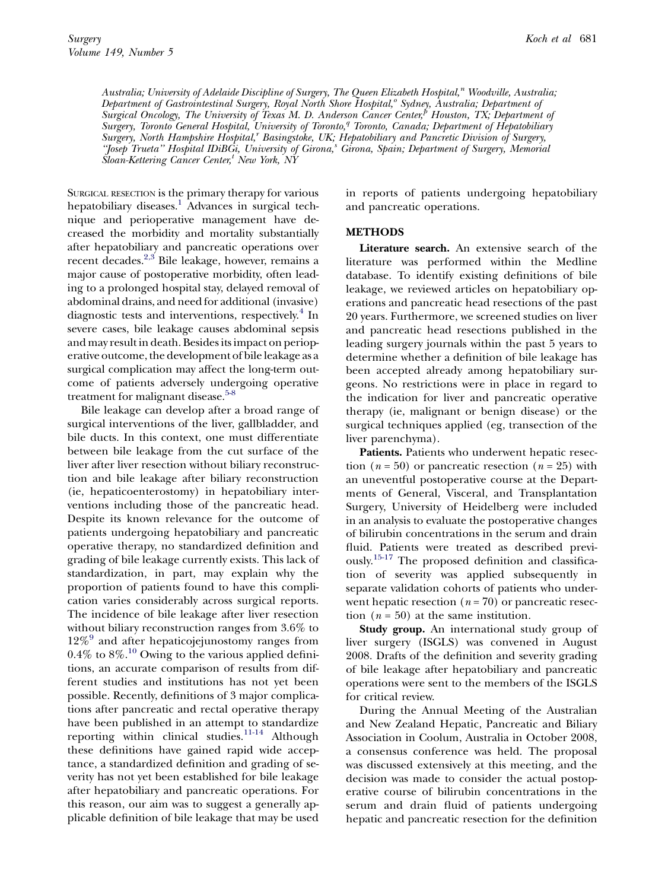Australia; University of Adelaide Discipline of Surgery, The Queen Elizabeth Hospital,<sup>n</sup> Woodville, Australia; Department of Gastrointestinal Surgery, Royal North Shore Hospital,<sup>o</sup> Sydney, Australia; Department of Surgical Oncology, The University of Texas M. D. Anderson Cancer Center,<sup>p</sup> Houston, TX; Department of Surgery, Toronto General Hospital, University of Toronto,<sup>q</sup> Toronto, Canada; Department of Hepatobiliary Surgery, North Hampshire Hospital,<sup>r</sup> Basingstoke, UK; Hepatobiliary and Pancretic Division of Surgery, ''Josep Trueta'' Hospital IDiBGi, University of Girona, Scirona, Spain; Department of Surgery, Memorial Sloan-Kettering Cancer Center,<sup>t</sup> New York, NY

SURGICAL RESECTION is the primary therapy for various hepatobiliary diseases.<sup>1</sup> Advances in surgical technique and perioperative management have decreased the morbidity and mortality substantially after hepatobiliary and pancreatic operations over recent decades.<sup>[2,3](#page-7-0)</sup> Bile leakage, however, remains a major cause of postoperative morbidity, often leading to a prolonged hospital stay, delayed removal of abdominal drains, and need for additional (invasive) diagnostic tests and interventions, respectively.<sup>4</sup> In severe cases, bile leakage causes abdominal sepsis and may result in death. Besides its impact on perioperative outcome, the development of bile leakage as a surgical complication may affect the long-term outcome of patients adversely undergoing operative treatment for malignant disease.<sup>5-8</sup>

Bile leakage can develop after a broad range of surgical interventions of the liver, gallbladder, and bile ducts. In this context, one must differentiate between bile leakage from the cut surface of the liver after liver resection without biliary reconstruction and bile leakage after biliary reconstruction (ie, hepaticoenterostomy) in hepatobiliary interventions including those of the pancreatic head. Despite its known relevance for the outcome of patients undergoing hepatobiliary and pancreatic operative therapy, no standardized definition and grading of bile leakage currently exists. This lack of standardization, in part, may explain why the proportion of patients found to have this complication varies considerably across surgical reports. The incidence of bile leakage after liver resection without biliary reconstruction ranges from 3.6% to  $12\%$ <sup>[9](#page-7-0)</sup> and after hepaticojejunostomy ranges from  $0.4\%$  to  $8\%$ .<sup>[10](#page-7-0)</sup> Owing to the various applied definitions, an accurate comparison of results from different studies and institutions has not yet been possible. Recently, definitions of 3 major complications after pancreatic and rectal operative therapy have been published in an attempt to standardize reporting within clinical studies. $11-14$  Although these definitions have gained rapid wide acceptance, a standardized definition and grading of severity has not yet been established for bile leakage after hepatobiliary and pancreatic operations. For this reason, our aim was to suggest a generally applicable definition of bile leakage that may be used in reports of patients undergoing hepatobiliary and pancreatic operations.

### METHODS

Literature search. An extensive search of the literature was performed within the Medline database. To identify existing definitions of bile leakage, we reviewed articles on hepatobiliary operations and pancreatic head resections of the past 20 years. Furthermore, we screened studies on liver and pancreatic head resections published in the leading surgery journals within the past 5 years to determine whether a definition of bile leakage has been accepted already among hepatobiliary surgeons. No restrictions were in place in regard to the indication for liver and pancreatic operative therapy (ie, malignant or benign disease) or the surgical techniques applied (eg, transection of the liver parenchyma).

Patients. Patients who underwent hepatic resection ( $n = 50$ ) or pancreatic resection ( $n = 25$ ) with an uneventful postoperative course at the Departments of General, Visceral, and Transplantation Surgery, University of Heidelberg were included in an analysis to evaluate the postoperative changes of bilirubin concentrations in the serum and drain fluid. Patients were treated as described previously.[15-17](#page-7-0) The proposed definition and classification of severity was applied subsequently in separate validation cohorts of patients who underwent hepatic resection ( $n = 70$ ) or pancreatic resection ( $n = 50$ ) at the same institution.

Study group. An international study group of liver surgery (ISGLS) was convened in August 2008. Drafts of the definition and severity grading of bile leakage after hepatobiliary and pancreatic operations were sent to the members of the ISGLS for critical review.

During the Annual Meeting of the Australian and New Zealand Hepatic, Pancreatic and Biliary Association in Coolum, Australia in October 2008, a consensus conference was held. The proposal was discussed extensively at this meeting, and the decision was made to consider the actual postoperative course of bilirubin concentrations in the serum and drain fluid of patients undergoing hepatic and pancreatic resection for the definition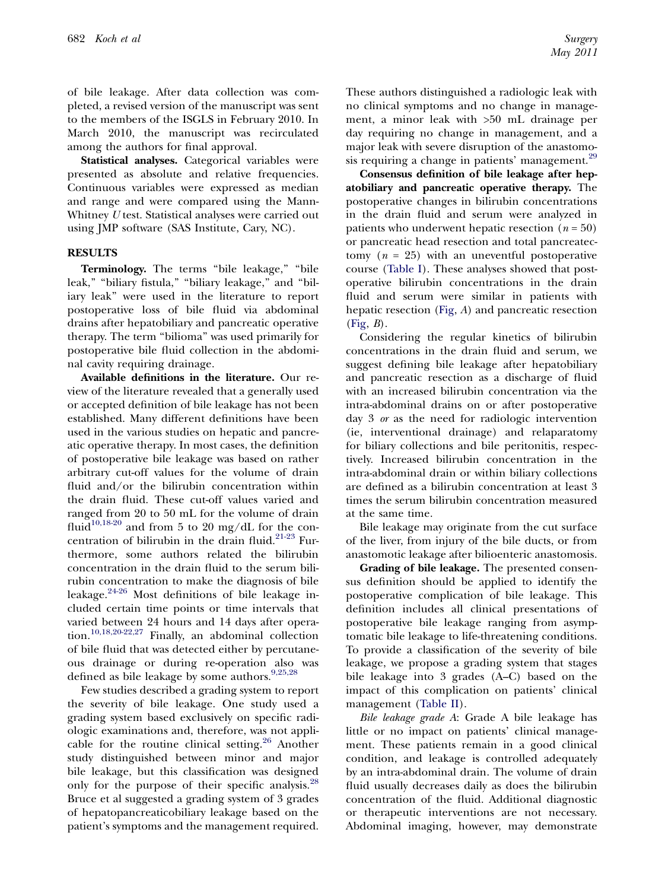of bile leakage. After data collection was completed, a revised version of the manuscript was sent to the members of the ISGLS in February 2010. In March 2010, the manuscript was recirculated among the authors for final approval.

Statistical analyses. Categorical variables were presented as absolute and relative frequencies. Continuous variables were expressed as median and range and were compared using the Mann-Whitney U test. Statistical analyses were carried out using JMP software (SAS Institute, Cary, NC).

## RESULTS

**Terminology.** The terms "bile leakage," "bile leak," "biliary fistula," "biliary leakage," and "biliary leak'' were used in the literature to report postoperative loss of bile fluid via abdominal drains after hepatobiliary and pancreatic operative therapy. The term ''bilioma'' was used primarily for postoperative bile fluid collection in the abdominal cavity requiring drainage.

Available definitions in the literature. Our review of the literature revealed that a generally used or accepted definition of bile leakage has not been established. Many different definitions have been used in the various studies on hepatic and pancreatic operative therapy. In most cases, the definition of postoperative bile leakage was based on rather arbitrary cut-off values for the volume of drain fluid and/or the bilirubin concentration within the drain fluid. These cut-off values varied and ranged from 20 to 50 mL for the volume of drain fluid<sup>10,18-20</sup> and from 5 to 20 mg/dL for the con-centration of bilirubin in the drain fluid.<sup>[21-23](#page-8-0)</sup> Furthermore, some authors related the bilirubin concentration in the drain fluid to the serum bilirubin concentration to make the diagnosis of bile leakage.[24-26](#page-8-0) Most definitions of bile leakage included certain time points or time intervals that varied between 24 hours and 14 days after opera-tion.<sup>[10,18,20-22,27](#page-7-0)</sup> Finally, an abdominal collection of bile fluid that was detected either by percutaneous drainage or during re-operation also was defined as bile leakage by some authors.<sup>[9,25,28](#page-7-0)</sup>

Few studies described a grading system to report the severity of bile leakage. One study used a grading system based exclusively on specific radiologic examinations and, therefore, was not applicable for the routine clinical setting. $26$  Another study distinguished between minor and major bile leakage, but this classification was designed only for the purpose of their specific analysis.<sup>[28](#page-8-0)</sup> Bruce et al suggested a grading system of 3 grades of hepatopancreaticobiliary leakage based on the patient's symptoms and the management required.

These authors distinguished a radiologic leak with no clinical symptoms and no change in management, a minor leak with >50 mL drainage per day requiring no change in management, and a major leak with severe disruption of the anastomo-sis requiring a change in patients' management.<sup>[29](#page-8-0)</sup>

Consensus definition of bile leakage after hepatobiliary and pancreatic operative therapy. The postoperative changes in bilirubin concentrations in the drain fluid and serum were analyzed in patients who underwent hepatic resection  $(n = 50)$ or pancreatic head resection and total pancreatectomy ( $n = 25$ ) with an uneventful postoperative course ([Table I](#page-3-0)). These analyses showed that postoperative bilirubin concentrations in the drain fluid and serum were similar in patients with hepatic resection [\(Fig,](#page-4-0) A) and pancreatic resection  $(Fig, B)$  $(Fig, B)$  $(Fig, B)$ .

Considering the regular kinetics of bilirubin concentrations in the drain fluid and serum, we suggest defining bile leakage after hepatobiliary and pancreatic resection as a discharge of fluid with an increased bilirubin concentration via the intra-abdominal drains on or after postoperative day 3 or as the need for radiologic intervention (ie, interventional drainage) and relaparatomy for biliary collections and bile peritonitis, respectively. Increased bilirubin concentration in the intra-abdominal drain or within biliary collections are defined as a bilirubin concentration at least 3 times the serum bilirubin concentration measured at the same time.

Bile leakage may originate from the cut surface of the liver, from injury of the bile ducts, or from anastomotic leakage after bilioenteric anastomosis.

Grading of bile leakage. The presented consensus definition should be applied to identify the postoperative complication of bile leakage. This definition includes all clinical presentations of postoperative bile leakage ranging from asymptomatic bile leakage to life-threatening conditions. To provide a classification of the severity of bile leakage, we propose a grading system that stages bile leakage into 3 grades (A–C) based on the impact of this complication on patients' clinical management [\(Table II\)](#page-4-0).

Bile leakage grade A: Grade A bile leakage has little or no impact on patients' clinical management. These patients remain in a good clinical condition, and leakage is controlled adequately by an intra-abdominal drain. The volume of drain fluid usually decreases daily as does the bilirubin concentration of the fluid. Additional diagnostic or therapeutic interventions are not necessary. Abdominal imaging, however, may demonstrate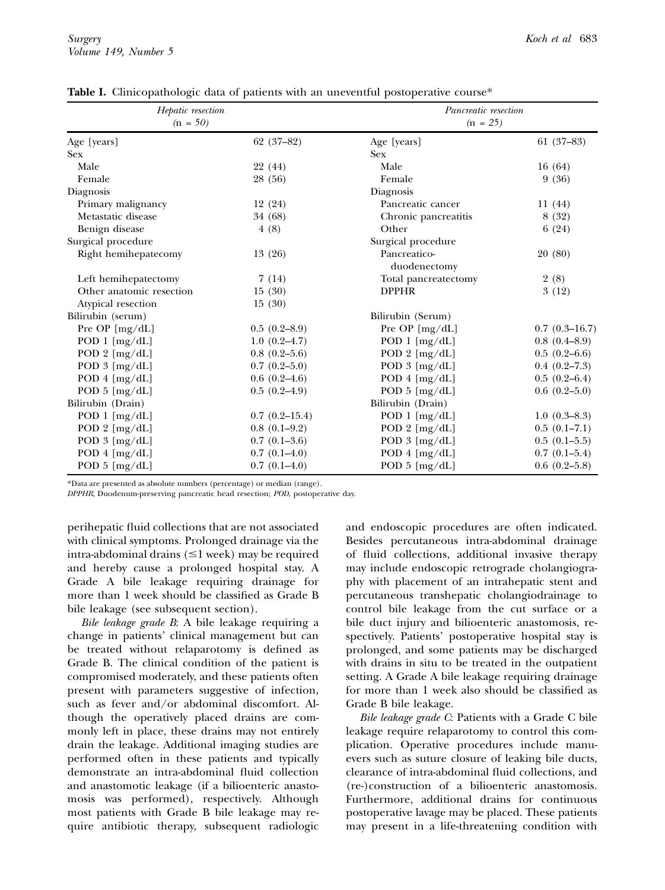| Hepatic resection<br>$(n = 50)$             |                   | Pancreatic resection<br>$(n = 25)$           |                  |  |
|---------------------------------------------|-------------------|----------------------------------------------|------------------|--|
| Age [years]                                 | $62(37-82)$       | Age [years]                                  | $61(37-83)$      |  |
| <b>Sex</b>                                  |                   | <b>Sex</b>                                   |                  |  |
| Male                                        | 22 (44)           | Male                                         | 16 (64)          |  |
| Female                                      | 28 (56)           | Female                                       | 9(36)            |  |
| Diagnosis                                   |                   | Diagnosis                                    |                  |  |
| Primary malignancy                          | 12(24)            | Pancreatic cancer                            | 11(44)           |  |
| Metastatic disease                          | 34 (68)           | Chronic pancreatitis                         | 8(32)            |  |
| Benign disease                              | 4(8)              | Other                                        | 6(24)            |  |
| Surgical procedure                          |                   | Surgical procedure                           |                  |  |
| Right hemihepatecomy                        | 13 (26)           | Pancreatico-<br>duodenectomy                 | 20 (80)          |  |
| Left hemihepatectomy                        | 7(14)             | Total pancreatectomy                         | 2(8)             |  |
| Other anatomic resection                    | 15(30)            | <b>DPPHR</b>                                 | 3(12)            |  |
| Atypical resection                          | 15(30)            |                                              |                  |  |
| Bilirubin (serum)                           |                   | Bilirubin (Serum)                            |                  |  |
| Pre OP [mg/dL]                              | $0.5(0.2-8.9)$    | Pre OP [mg/dL]                               | $0.7(0.3-16.7)$  |  |
| POD 1 [mg/dL]                               | $1.0(0.2-4.7)$    | POD 1 [mg/dL]                                | $0.8(0.4 - 8.9)$ |  |
| POD 2 $[mg/dL]$                             | $0.8(0.2-5.6)$    | POD $2 \left[\frac{mg}{dL}\right]$           | $0.5(0.2-6.6)$   |  |
| POD 3 [mg/dL]                               | $0.7(0.2 - 5.0)$  | POD 3 [mg/dL]                                | $0.4(0.2-7.3)$   |  |
| POD $4 \,[\text{mg}/\text{d}L]$             | $0.6(0.2-4.6)$    | POD $4 \left[\frac{mg}{dL}\right]$           | $0.5(0.2-6.4)$   |  |
| POD 5 [mg/dL]                               | $0.5(0.2-4.9)$    | POD 5 [mg/dL]                                | $0.6(0.2-5.0)$   |  |
| Bilirubin (Drain)                           |                   | Bilirubin (Drain)                            |                  |  |
| POD 1 [mg/dL]                               | $0.7(0.2 - 15.4)$ | POD 1 [mg/dL]                                | $1.0(0.3-8.3)$   |  |
| POD $2 \text{ [mg/dL]}$                     | $0.8(0.1-9.2)$    | POD 2 $\left[\mathrm{mg}/\mathrm{dL}\right]$ | $0.5(0.1-7.1)$   |  |
| POD 3 $[\mathrm{mg}/\mathrm{d} \mathrm{L}]$ | $0.7(0.1-3.6)$    | POD 3 [mg/dL]                                | $0.5(0.1-5.5)$   |  |
| POD 4 [mg/dL]                               | $0.7(0.1-4.0)$    | POD 4 [mg/dL]                                | $0.7(0.1-5.4)$   |  |
| POD 5 [mg/dL]                               | $0.7(0.1-4.0)$    | POD 5 [mg/dL]                                | $0.6(0.2-5.8)$   |  |

<span id="page-3-0"></span>Table I. Clinicopathologic data of patients with an uneventful postoperative course\*

\*Data are presented as absolute numbers (percentage) or median (range).

DPPHR, Duodenum-preserving pancreatic head resection; POD, postoperative day.

perihepatic fluid collections that are not associated with clinical symptoms. Prolonged drainage via the intra-abdominal drains  $(\leq 1 \text{ week})$  may be required and hereby cause a prolonged hospital stay. A Grade A bile leakage requiring drainage for more than 1 week should be classified as Grade B bile leakage (see subsequent section).

Bile leakage grade B: A bile leakage requiring a change in patients' clinical management but can be treated without relaparotomy is defined as Grade B. The clinical condition of the patient is compromised moderately, and these patients often present with parameters suggestive of infection, such as fever and/or abdominal discomfort. Although the operatively placed drains are commonly left in place, these drains may not entirely drain the leakage. Additional imaging studies are performed often in these patients and typically demonstrate an intra-abdominal fluid collection and anastomotic leakage (if a bilioenteric anastomosis was performed), respectively. Although most patients with Grade B bile leakage may require antibiotic therapy, subsequent radiologic

and endoscopic procedures are often indicated. Besides percutaneous intra-abdominal drainage of fluid collections, additional invasive therapy may include endoscopic retrograde cholangiography with placement of an intrahepatic stent and percutaneous transhepatic cholangiodrainage to control bile leakage from the cut surface or a bile duct injury and bilioenteric anastomosis, respectively. Patients' postoperative hospital stay is prolonged, and some patients may be discharged with drains in situ to be treated in the outpatient setting. A Grade A bile leakage requiring drainage for more than 1 week also should be classified as Grade B bile leakage.

Bile leakage grade C: Patients with a Grade C bile leakage require relaparotomy to control this complication. Operative procedures include manuevers such as suture closure of leaking bile ducts, clearance of intra-abdominal fluid collections, and (re-)construction of a bilioenteric anastomosis. Furthermore, additional drains for continuous postoperative lavage may be placed. These patients may present in a life-threatening condition with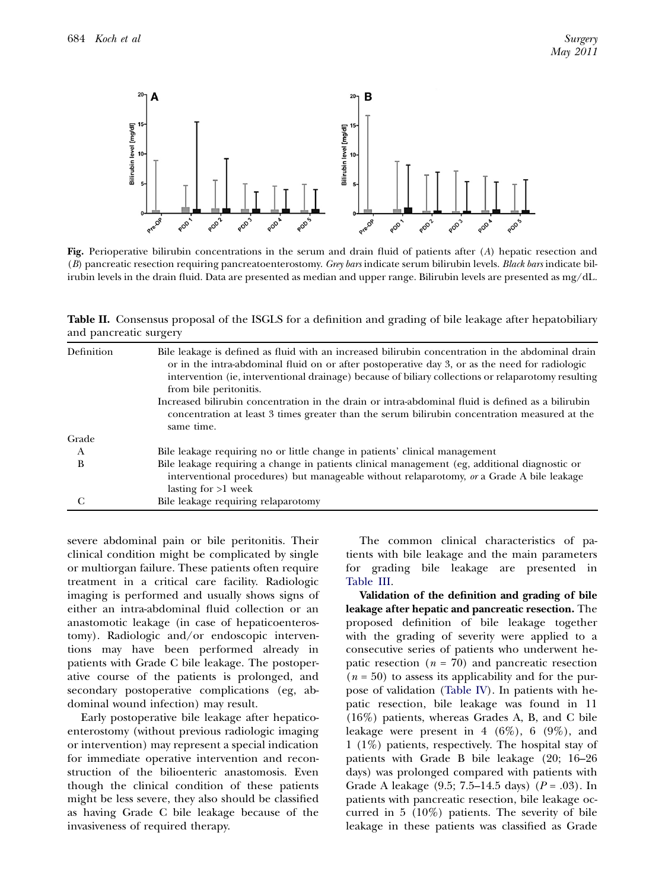<span id="page-4-0"></span>

Fig. Perioperative bilirubin concentrations in the serum and drain fluid of patients after  $(A)$  hepatic resection and (B) pancreatic resection requiring pancreatoenterostomy. Grey bars indicate serum bilirubin levels. Black bars indicate bilirubin levels in the drain fluid. Data are presented as median and upper range. Bilirubin levels are presented as mg/dL.

Table II. Consensus proposal of the ISGLS for a definition and grading of bile leakage after hepatobiliary and pancreatic surgery

| Bile leakage is defined as fluid with an increased bilirubin concentration in the abdominal drain<br>or in the intra-abdominal fluid on or after postoperative day 3, or as the need for radiologic                 |
|---------------------------------------------------------------------------------------------------------------------------------------------------------------------------------------------------------------------|
| intervention (ie, interventional drainage) because of biliary collections or relaparotomy resulting<br>from bile peritonitis.                                                                                       |
| Increased bilirubin concentration in the drain or intra-abdominal fluid is defined as a bilirubin<br>concentration at least 3 times greater than the serum bilirubin concentration measured at the<br>same time.    |
|                                                                                                                                                                                                                     |
| Bile leakage requiring no or little change in patients' clinical management                                                                                                                                         |
| Bile leakage requiring a change in patients clinical management (eg, additional diagnostic or<br>interventional procedures) but manageable without relaparotomy, or a Grade A bile leakage<br>lasting for $>1$ week |
| Bile leakage requiring relaparotomy                                                                                                                                                                                 |
|                                                                                                                                                                                                                     |

severe abdominal pain or bile peritonitis. Their clinical condition might be complicated by single or multiorgan failure. These patients often require treatment in a critical care facility. Radiologic imaging is performed and usually shows signs of either an intra-abdominal fluid collection or an anastomotic leakage (in case of hepaticoenterostomy). Radiologic and/or endoscopic interventions may have been performed already in patients with Grade C bile leakage. The postoperative course of the patients is prolonged, and secondary postoperative complications (eg, abdominal wound infection) may result.

Early postoperative bile leakage after hepaticoenterostomy (without previous radiologic imaging or intervention) may represent a special indication for immediate operative intervention and reconstruction of the bilioenteric anastomosis. Even though the clinical condition of these patients might be less severe, they also should be classified as having Grade C bile leakage because of the invasiveness of required therapy.

The common clinical characteristics of patients with bile leakage and the main parameters for grading bile leakage are presented in [Table III.](#page-5-0)

Validation of the definition and grading of bile leakage after hepatic and pancreatic resection. The proposed definition of bile leakage together with the grading of severity were applied to a consecutive series of patients who underwent hepatic resection ( $n = 70$ ) and pancreatic resection  $(n = 50)$  to assess its applicability and for the purpose of validation [\(Table IV\)](#page-5-0). In patients with hepatic resection, bile leakage was found in 11 (16%) patients, whereas Grades A, B, and C bile leakage were present in  $4(6\%)$ , 6 (9%), and 1 (1%) patients, respectively. The hospital stay of patients with Grade B bile leakage (20; 16–26 days) was prolonged compared with patients with Grade A leakage (9.5; 7.5–14.5 days) ( $P = .03$ ). In patients with pancreatic resection, bile leakage occurred in 5 (10%) patients. The severity of bile leakage in these patients was classified as Grade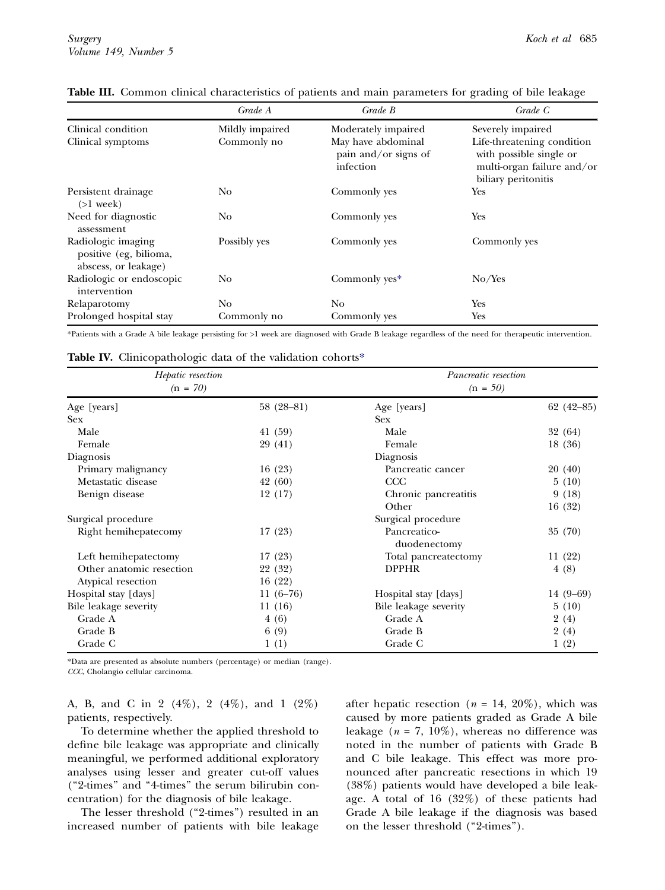|                                                                      | Grade A         | Grade B                                                 | Grade C                                                                                                    |
|----------------------------------------------------------------------|-----------------|---------------------------------------------------------|------------------------------------------------------------------------------------------------------------|
| Clinical condition                                                   | Mildly impaired | Moderately impaired                                     | Severely impaired                                                                                          |
| Clinical symptoms                                                    | Commonly no     | May have abdominal<br>pain and/or signs of<br>infection | Life-threatening condition<br>with possible single or<br>multi-organ failure and/or<br>biliary peritonitis |
| Persistent drainage<br>$(>1$ week)                                   | No.             | Commonly yes                                            | Yes                                                                                                        |
| Need for diagnostic<br>assessment                                    | No.             | Commonly yes                                            | Yes                                                                                                        |
| Radiologic imaging<br>positive (eg, bilioma,<br>abscess, or leakage) | Possibly yes    | Commonly yes                                            | Commonly yes                                                                                               |
| Radiologic or endoscopic<br>intervention                             | No              | Commonly yes*                                           | No/Yes                                                                                                     |
| Relaparotomy                                                         | N <sub>o</sub>  | No                                                      | Yes                                                                                                        |
| Prolonged hospital stay                                              | Commonly no     | Commonly yes                                            | Yes                                                                                                        |

<span id="page-5-0"></span>Table III. Common clinical characteristics of patients and main parameters for grading of bile leakage

\*Patients with a Grade A bile leakage persisting for >1 week are diagnosed with Grade B leakage regardless of the need for therapeutic intervention.

|  |  |  |  |  |  | Table IV. Clinicopathologic data of the validation cohorts* |  |
|--|--|--|--|--|--|-------------------------------------------------------------|--|
|--|--|--|--|--|--|-------------------------------------------------------------|--|

| Hepatic resection<br>$(n = 70)$ |             | Pancreatic resection<br>$(n = 50)$ |              |  |
|---------------------------------|-------------|------------------------------------|--------------|--|
| Age [years]                     | $58(28-81)$ | Age [years]                        | 62 $(42-85)$ |  |
| <b>Sex</b>                      |             | <b>Sex</b>                         |              |  |
| Male                            | 41 (59)     | Male                               | 32 (64)      |  |
| Female                          | 29 (41)     | Female                             | 18 (36)      |  |
| Diagnosis                       |             | Diagnosis                          |              |  |
| Primary malignancy              | 16 (23)     | Pancreatic cancer                  | 20 (40)      |  |
| Metastatic disease              | 42(60)      | CCC                                | 5(10)        |  |
| Benign disease                  | 12(17)      | Chronic pancreatitis               | 9(18)        |  |
|                                 |             | Other                              | 16(32)       |  |
| Surgical procedure              |             | Surgical procedure                 |              |  |
| Right hemihepatecomy            | 17 (23)     | Pancreatico-                       | 35(70)       |  |
|                                 |             | duodenectomy                       |              |  |
| Left hemihepatectomy            | 17 (23)     | Total pancreatectomy               | 11 (22)      |  |
| Other anatomic resection        | 22 (32)     | <b>DPPHR</b>                       | 4(8)         |  |
| Atypical resection              | 16(22)      |                                    |              |  |
| Hospital stay [days]            | $11(6-76)$  | Hospital stay [days]               | $14(9-69)$   |  |
| Bile leakage severity           | 11(16)      | Bile leakage severity              | 5(10)        |  |
| Grade A                         | 4(6)        | Grade A                            | 2(4)         |  |
| Grade B                         | 6(9)        | Grade B                            | 2(4)         |  |
| Grade C                         | 1(1)        | Grade C                            | 1(2)         |  |

\*Data are presented as absolute numbers (percentage) or median (range).

CCC, Cholangio cellular carcinoma.

A, B, and C in 2 (4%), 2 (4%), and 1 (2%) patients, respectively.

To determine whether the applied threshold to define bile leakage was appropriate and clinically meaningful, we performed additional exploratory analyses using lesser and greater cut-off values (''2-times'' and ''4-times'' the serum bilirubin concentration) for the diagnosis of bile leakage.

The lesser threshold ("2-times") resulted in an increased number of patients with bile leakage after hepatic resection ( $n = 14, 20\%$ ), which was caused by more patients graded as Grade A bile leakage ( $n = 7, 10\%$ ), whereas no difference was noted in the number of patients with Grade B and C bile leakage. This effect was more pronounced after pancreatic resections in which 19 (38%) patients would have developed a bile leakage. A total of 16 (32%) of these patients had Grade A bile leakage if the diagnosis was based on the lesser threshold ("2-times").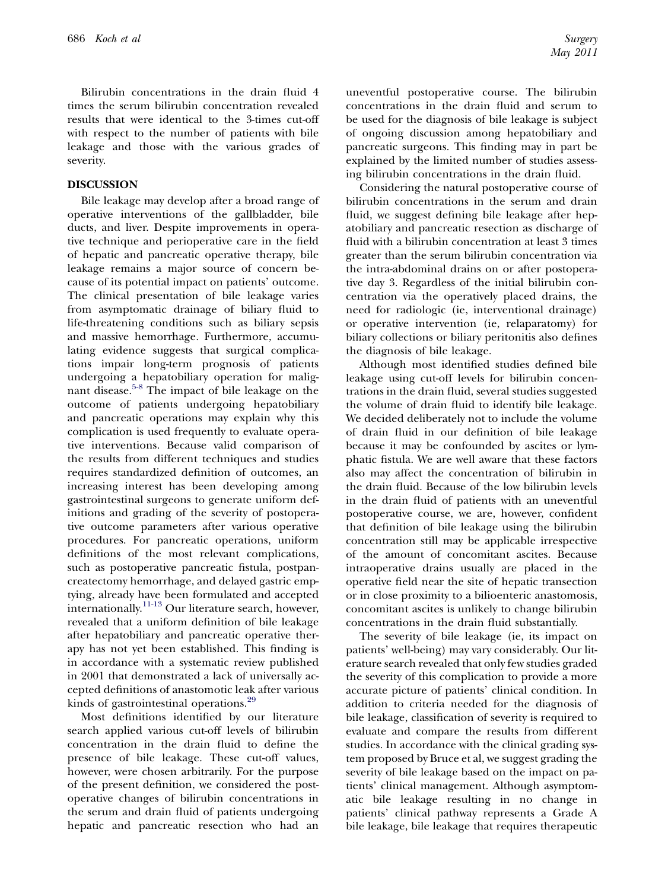Bilirubin concentrations in the drain fluid 4 times the serum bilirubin concentration revealed results that were identical to the 3-times cut-off with respect to the number of patients with bile leakage and those with the various grades of severity.

## DISCUSSION

Bile leakage may develop after a broad range of operative interventions of the gallbladder, bile ducts, and liver. Despite improvements in operative technique and perioperative care in the field of hepatic and pancreatic operative therapy, bile leakage remains a major source of concern because of its potential impact on patients' outcome. The clinical presentation of bile leakage varies from asymptomatic drainage of biliary fluid to life-threatening conditions such as biliary sepsis and massive hemorrhage. Furthermore, accumulating evidence suggests that surgical complications impair long-term prognosis of patients undergoing a hepatobiliary operation for malignant disease.[5-8](#page-7-0) The impact of bile leakage on the outcome of patients undergoing hepatobiliary and pancreatic operations may explain why this complication is used frequently to evaluate operative interventions. Because valid comparison of the results from different techniques and studies requires standardized definition of outcomes, an increasing interest has been developing among gastrointestinal surgeons to generate uniform definitions and grading of the severity of postoperative outcome parameters after various operative procedures. For pancreatic operations, uniform definitions of the most relevant complications, such as postoperative pancreatic fistula, postpancreatectomy hemorrhage, and delayed gastric emptying, already have been formulated and accepted internationally.[11-13](#page-7-0) Our literature search, however, revealed that a uniform definition of bile leakage after hepatobiliary and pancreatic operative therapy has not yet been established. This finding is in accordance with a systematic review published in 2001 that demonstrated a lack of universally accepted definitions of anastomotic leak after various kinds of gastrointestinal operations.<sup>[29](#page-8-0)</sup>

Most definitions identified by our literature search applied various cut-off levels of bilirubin concentration in the drain fluid to define the presence of bile leakage. These cut-off values, however, were chosen arbitrarily. For the purpose of the present definition, we considered the postoperative changes of bilirubin concentrations in the serum and drain fluid of patients undergoing hepatic and pancreatic resection who had an

uneventful postoperative course. The bilirubin concentrations in the drain fluid and serum to be used for the diagnosis of bile leakage is subject of ongoing discussion among hepatobiliary and pancreatic surgeons. This finding may in part be explained by the limited number of studies assessing bilirubin concentrations in the drain fluid.

Considering the natural postoperative course of bilirubin concentrations in the serum and drain fluid, we suggest defining bile leakage after hepatobiliary and pancreatic resection as discharge of fluid with a bilirubin concentration at least 3 times greater than the serum bilirubin concentration via the intra-abdominal drains on or after postoperative day 3. Regardless of the initial bilirubin concentration via the operatively placed drains, the need for radiologic (ie, interventional drainage) or operative intervention (ie, relaparatomy) for biliary collections or biliary peritonitis also defines the diagnosis of bile leakage.

Although most identified studies defined bile leakage using cut-off levels for bilirubin concentrations in the drain fluid, several studies suggested the volume of drain fluid to identify bile leakage. We decided deliberately not to include the volume of drain fluid in our definition of bile leakage because it may be confounded by ascites or lymphatic fistula. We are well aware that these factors also may affect the concentration of bilirubin in the drain fluid. Because of the low bilirubin levels in the drain fluid of patients with an uneventful postoperative course, we are, however, confident that definition of bile leakage using the bilirubin concentration still may be applicable irrespective of the amount of concomitant ascites. Because intraoperative drains usually are placed in the operative field near the site of hepatic transection or in close proximity to a bilioenteric anastomosis, concomitant ascites is unlikely to change bilirubin concentrations in the drain fluid substantially.

The severity of bile leakage (ie, its impact on patients' well-being) may vary considerably. Our literature search revealed that only few studies graded the severity of this complication to provide a more accurate picture of patients' clinical condition. In addition to criteria needed for the diagnosis of bile leakage, classification of severity is required to evaluate and compare the results from different studies. In accordance with the clinical grading system proposed by Bruce et al, we suggest grading the severity of bile leakage based on the impact on patients' clinical management. Although asymptomatic bile leakage resulting in no change in patients' clinical pathway represents a Grade A bile leakage, bile leakage that requires therapeutic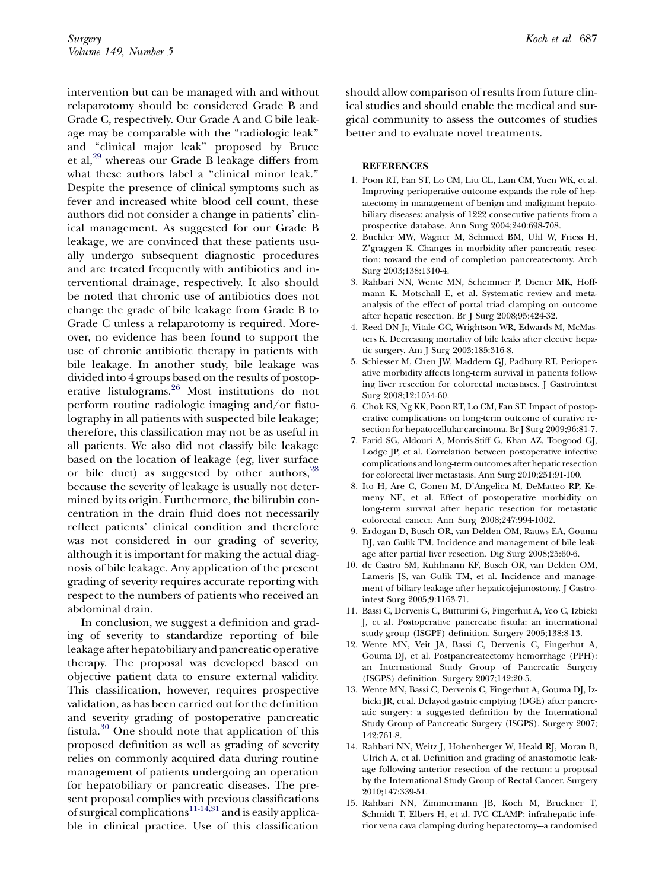<span id="page-7-0"></span>intervention but can be managed with and without relaparotomy should be considered Grade B and Grade C, respectively. Our Grade A and C bile leakage may be comparable with the "radiologic leak" and ''clinical major leak'' proposed by Bruce et al,<sup>[29](#page-8-0)</sup> whereas our Grade B leakage differs from what these authors label a "clinical minor leak." Despite the presence of clinical symptoms such as fever and increased white blood cell count, these authors did not consider a change in patients' clinical management. As suggested for our Grade B leakage, we are convinced that these patients usually undergo subsequent diagnostic procedures and are treated frequently with antibiotics and interventional drainage, respectively. It also should be noted that chronic use of antibiotics does not change the grade of bile leakage from Grade B to Grade C unless a relaparotomy is required. Moreover, no evidence has been found to support the use of chronic antibiotic therapy in patients with bile leakage. In another study, bile leakage was divided into 4 groups based on the results of postoperative fistulograms.[26](#page-8-0) Most institutions do not perform routine radiologic imaging and/or fistulography in all patients with suspected bile leakage; therefore, this classification may not be as useful in all patients. We also did not classify bile leakage based on the location of leakage (eg, liver surface or bile duct) as suggested by other authors,<sup>[28](#page-8-0)</sup> because the severity of leakage is usually not determined by its origin. Furthermore, the bilirubin concentration in the drain fluid does not necessarily reflect patients' clinical condition and therefore was not considered in our grading of severity, although it is important for making the actual diagnosis of bile leakage. Any application of the present grading of severity requires accurate reporting with respect to the numbers of patients who received an abdominal drain.

In conclusion, we suggest a definition and grading of severity to standardize reporting of bile leakage after hepatobiliary and pancreatic operative therapy. The proposal was developed based on objective patient data to ensure external validity. This classification, however, requires prospective validation, as has been carried out for the definition and severity grading of postoperative pancreatic fistula.[30](#page-8-0) One should note that application of this proposed definition as well as grading of severity relies on commonly acquired data during routine management of patients undergoing an operation for hepatobiliary or pancreatic diseases. The present proposal complies with previous classifications of surgical complications<sup>11-14,31</sup> and is easily applicable in clinical practice. Use of this classification

should allow comparison of results from future clinical studies and should enable the medical and surgical community to assess the outcomes of studies better and to evaluate novel treatments.

### REFERENCES

- 1. Poon RT, Fan ST, Lo CM, Liu CL, Lam CM, Yuen WK, et al. Improving perioperative outcome expands the role of hepatectomy in management of benign and malignant hepatobiliary diseases: analysis of 1222 consecutive patients from a prospective database. Ann Surg 2004;240:698-708.
- 2. Buchler MW, Wagner M, Schmied BM, Uhl W, Friess H, Z'graggen K. Changes in morbidity after pancreatic resection: toward the end of completion pancreatectomy. Arch Surg 2003;138:1310-4.
- 3. Rahbari NN, Wente MN, Schemmer P, Diener MK, Hoffmann K, Motschall E, et al. Systematic review and metaanalysis of the effect of portal triad clamping on outcome after hepatic resection. Br J Surg 2008;95:424-32.
- 4. Reed DN Jr, Vitale GC, Wrightson WR, Edwards M, McMasters K. Decreasing mortality of bile leaks after elective hepatic surgery. Am J Surg 2003;185:316-8.
- 5. Schiesser M, Chen JW, Maddern GJ, Padbury RT. Perioperative morbidity affects long-term survival in patients following liver resection for colorectal metastases. J Gastrointest Surg 2008;12:1054-60.
- 6. Chok KS, Ng KK, Poon RT, Lo CM, Fan ST. Impact of postoperative complications on long-term outcome of curative resection for hepatocellular carcinoma. Br J Surg 2009;96:81-7.
- 7. Farid SG, Aldouri A, Morris-Stiff G, Khan AZ, Toogood GJ, Lodge JP, et al. Correlation between postoperative infective complications and long-term outcomes after hepatic resection for colorectal liver metastasis. Ann Surg 2010;251:91-100.
- 8. Ito H, Are C, Gonen M, D'Angelica M, DeMatteo RP, Kemeny NE, et al. Effect of postoperative morbidity on long-term survival after hepatic resection for metastatic colorectal cancer. Ann Surg 2008;247:994-1002.
- 9. Erdogan D, Busch OR, van Delden OM, Rauws EA, Gouma DJ, van Gulik TM. Incidence and management of bile leakage after partial liver resection. Dig Surg 2008;25:60-6.
- 10. de Castro SM, Kuhlmann KF, Busch OR, van Delden OM, Lameris JS, van Gulik TM, et al. Incidence and management of biliary leakage after hepaticojejunostomy. J Gastrointest Surg 2005;9:1163-71.
- 11. Bassi C, Dervenis C, Butturini G, Fingerhut A, Yeo C, Izbicki J, et al. Postoperative pancreatic fistula: an international study group (ISGPF) definition. Surgery 2005;138:8-13.
- 12. Wente MN, Veit JA, Bassi C, Dervenis C, Fingerhut A, Gouma DJ, et al. Postpancreatectomy hemorrhage (PPH): an International Study Group of Pancreatic Surgery (ISGPS) definition. Surgery 2007;142:20-5.
- 13. Wente MN, Bassi C, Dervenis C, Fingerhut A, Gouma DJ, Izbicki JR, et al. Delayed gastric emptying (DGE) after pancreatic surgery: a suggested definition by the International Study Group of Pancreatic Surgery (ISGPS). Surgery 2007; 142:761-8.
- 14. Rahbari NN, Weitz J, Hohenberger W, Heald RJ, Moran B, Ulrich A, et al. Definition and grading of anastomotic leakage following anterior resection of the rectum: a proposal by the International Study Group of Rectal Cancer. Surgery 2010;147:339-51.
- 15. Rahbari NN, Zimmermann JB, Koch M, Bruckner T, Schmidt T, Elbers H, et al. IVC CLAMP: infrahepatic inferior vena cava clamping during hepatectomy--a randomised